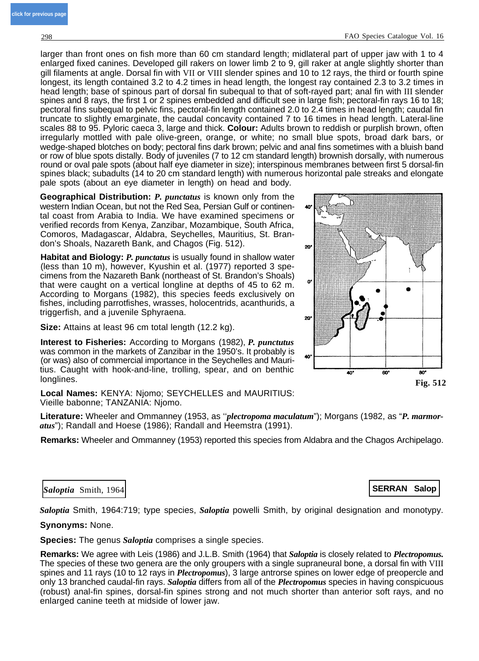larger than front ones on fish more than 60 cm standard length; midlateral part of upper jaw with 1 to 4 enlarged fixed canines. Developed gill rakers on lower limb 2 to 9, gill raker at angle slightly shorter than gill filaments at angle. Dorsal fin with VII or VIII slender spines and 10 to 12 rays, the third or fourth spine longest, its length contained 3.2 to 4.2 times in head length, the longest ray contained 2.3 to 3.2 times in head length; base of spinous part of dorsal fin subequal to that of soft-rayed part; anal fin with III slender spines and 8 rays, the first 1 or 2 spines embedded and difficult see in large fish; pectoral-fin rays 16 to 18; pectoral fins subequal to pelvic fins, pectoral-fin length contained 2.0 to 2.4 times in head length; caudal fin truncate to slightly emarginate, the caudal concavity contained 7 to 16 times in head length. Lateral-line scales 88 to 95. Pyloric caeca 3, large and thick. **Colour:** Adults brown to reddish or purplish brown, often irregularly mottled with pale olive-green, orange, or white; no small blue spots, broad dark bars, or wedge-shaped blotches on body; pectoral fins dark brown; pelvic and anal fins sometimes with a bluish band or row of blue spots distally. Body of juveniles (7 to 12 cm standard length) brownish dorsally, with numerous round or oval pale spots (about half eye diameter in size); interspinous membranes between first 5 dorsal-fin spines black; subadults (14 to 20 cm standard length) with numerous horizontal pale streaks and elongate pale spots (about an eye diameter in length) on head and body.

**Geographical Distribution:** *P. punctatus* is known only from the western Indian Ocean, but not the Red Sea, Persian Gulf or continental coast from Arabia to India. We have examined specimens or verified records from Kenya, Zanzibar, Mozambique, South Africa, Comoros, Madagascar, Aldabra, Seychelles, Mauritius, St. Brandon's Shoals, Nazareth Bank, and Chagos (Fig. 512).

**Habitat and Biology:** *P. punctatus* is usually found in shallow water (less than 10 m), however, Kyushin et al. (1977) reported 3 specimens from the Nazareth Bank (northeast of St. Brandon's Shoals) that were caught on a vertical longline at depths of 45 to 62 m. According to Morgans (1982), this species feeds exclusively on fishes, including parrotfishes, wrasses, holocentrids, acanthurids, a triggerfish, and a juvenile Sphyraena.

**Size:** Attains at least 96 cm total length (12.2 kg).

**Interest to Fisheries:** According to Morgans (1982), *P. punctutus* was common in the markets of Zanzibar in the 1950's. It probably is (or was) also of commercial importance in the Seychelles and Mauritius. Caught with hook-and-line, trolling, spear, and on benthic longlines.

**Local Names:** KENYA: Njomo; SEYCHELLES and MAURITIUS: Vieille babonne; TANZANIA: Njomo.

**Literature:** Wheeler and Ommanney (1953, as ''*plectropoma maculatum*"); Morgans (1982, as "*P. marmoratus*"); Randall and Hoese (1986); Randall and Heemstra (1991).

**Remarks:** Wheeler and Ommanney (1953) reported this species from Aldabra and the Chagos Archipelago.

## **Saloptia** Smith, 1964 **SERRAN Salop**

*Saloptia* Smith, 1964:719; type species, *Saloptia* powelli Smith, by original designation and monotypy.

**Synonyms:** None.

**Species:** The genus *Saloptia* comprises a single species.

**Remarks:** We agree with Leis (1986) and J.L.B. Smith (1964) that *Saloptia* is closely related to *Plectropomus.* The species of these two genera are the only groupers with a single supraneural bone, a dorsal fin with VIII spines and 11 rays (10 to 12 rays in *Plectropomus*), 3 large antrorse spines on lower edge of preopercle and only 13 branched caudal-fin rays. *Saloptia* differs from all of the *Plectropomus* species in having conspicuous (robust) anal-fin spines, dorsal-fin spines strong and not much shorter than anterior soft rays, and no enlarged canine teeth at midside of lower jaw.

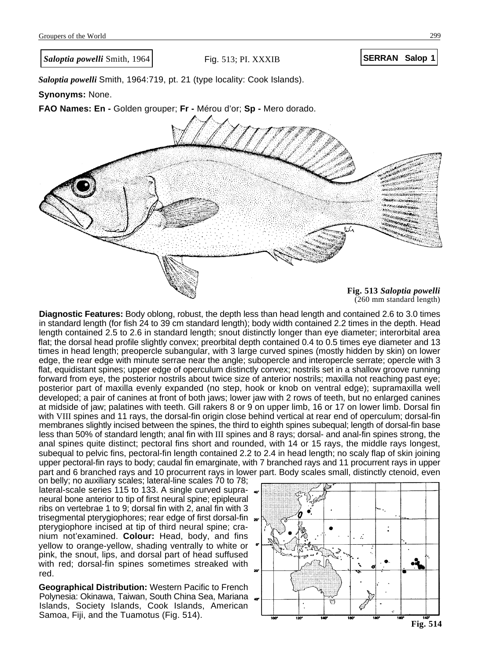*Saloptia powelli* Smith, 1964:719, pt. 21 (type locality: Cook Islands).

**Synonyms:** None.

**FAO Names: En -** Golden grouper; **Fr -** Mérou d'or; **Sp -** Mero dorado.



(260 mm standard length)

**Diagnostic Features:** Body oblong, robust, the depth less than head length and contained 2.6 to 3.0 times in standard length (for fish 24 to 39 cm standard length); body width contained 2.2 times in the depth. Head length contained 2.5 to 2.6 in standard length; snout distinctly longer than eye diameter; interorbital area flat; the dorsal head profile slightly convex; preorbital depth contained 0.4 to 0.5 times eye diameter and 13 times in head length; preopercle subangular, with 3 large curved spines (mostly hidden by skin) on lower edge, the rear edge with minute serrae near the angle; subopercle and interopercle serrate; opercle with 3 flat, equidistant spines; upper edge of operculum distinctly convex; nostrils set in a shallow groove running forward from eye, the posterior nostrils about twice size of anterior nostrils; maxilla not reaching past eye; posterior part of maxilla evenly expanded (no step, hook or knob on ventral edge); supramaxilla well developed; a pair of canines at front of both jaws; lower jaw with 2 rows of teeth, but no enlarged canines at midside of jaw; palatines with teeth. Gill rakers 8 or 9 on upper limb, 16 or 17 on lower limb. Dorsal fin with VIII spines and 11 rays, the dorsal-fin origin close behind vertical at rear end of operculum; dorsal-fin membranes slightly incised between the spines, the third to eighth spines subequal; length of dorsal-fin base less than 50% of standard length; anal fin with III spines and 8 rays; dorsal- and anal-fin spines strong, the anal spines quite distinct; pectoral fins short and rounded, with 14 or 15 rays, the middle rays longest, subequal to pelvic fins, pectoral-fin length contained 2.2 to 2.4 in head length; no scaly flap of skin joining upper pectoral-fin rays to body; caudal fin emarginate, with 7 branched rays and 11 procurrent rays in upper part and 6 branched rays and 10 procurrent rays in lower part. Body scales small, distinctly ctenoid, even

on belly; no auxiliary scales; lateral-line scales 70 to 78; lateral-scale series 115 to 133. A single curved supraneural bone anterior to tip of first neural spine; epipleural ribs on vertebrae 1 to 9; dorsal fin with 2, anal fin with 3 trisegmental pterygiophores; rear edge of first dorsal-fin, pterygiophore incised at tip of third neural spine; cranium not'examined. **Colour:** Head, body, and fins yellow to orange-yellow, shading ventrally to white or pink, the snout, lips, and dorsal part of head suffused with red; dorsal-fin spines sometimes streaked with red.

**Geographical Distribution:** Western Pacific to French Polynesia: Okinawa, Taiwan, South China Sea, Mariana Islands, Society Islands, Cook Islands, American Samoa, Fiji, and the Tuamotus (Fig. 514).

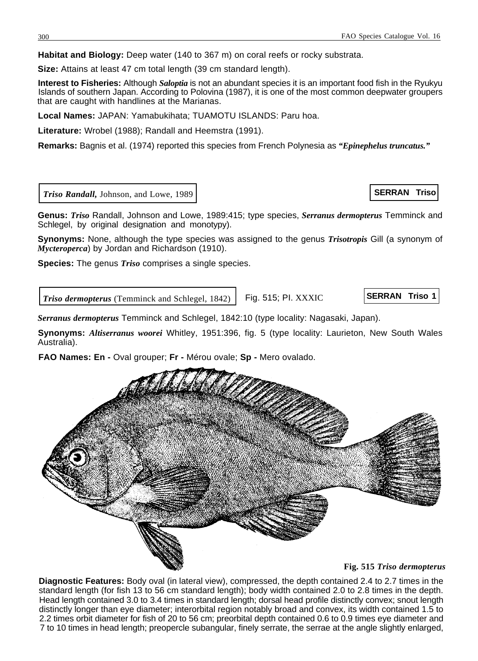**Habitat and Biology:** Deep water (140 to 367 m) on coral reefs or rocky substrata.

**Size:** Attains at least 47 cm total length (39 cm standard length).

**Interest to Fisheries:** Although *Saloptia* is not an abundant species it is an important food fish in the Ryukyu Islands of southern Japan. According to Polovina (1987), it is one of the most common deepwater groupers that are caught with handlines at the Marianas.

**Local Names:** JAPAN: Yamabukihata; TUAMOTU ISLANDS: Paru hoa.

**Literature:** Wrobel (1988); Randall and Heemstra (1991).

**Remarks:** Bagnis et al. (1974) reported this species from French Polynesia as *"Epinephelus truncatus."*

*Triso Randall,* Johnson, and Lowe, 1989

**Genus:** *Triso* Randall, Johnson and Lowe, 1989:415; type species, *Serranus dermopterus* Temminck and Schlegel, by original designation and monotypy).

**Synonyms:** None, although the type species was assigned to the genus *Trisotropis* Gill (a synonym of *Mycteroperca*) by Jordan and Richardson (1910).

**Species:** The genus *Triso* comprises a single species.

**Triso dermopterus** (Temminck and Schlegel, 1842) Fig. 515; Pl. XXXIC

*Serranus dermopterus* Temminck and Schlegel, 1842:10 (type locality: Nagasaki, Japan).

**Synonyms:** *Altiserranus woorei* Whitley, 1951:396, fig. 5 (type locality: Laurieton, New South Wales Australia).

**FAO Names: En -** Oval grouper; **Fr -** Mérou ovale; **Sp -** Mero ovalado.

**Fig. 515** *Triso dermopterus*

**Diagnostic Features:** Body oval (in lateral view), compressed, the depth contained 2.4 to 2.7 times in the standard length (for fish 13 to 56 cm standard length); body width contained 2.0 to 2.8 times in the depth. Head length contained 3.0 to 3.4 times in standard length; dorsal head profile distinctly convex; snout length distinctly longer than eye diameter; interorbital region notably broad and convex, its width contained 1.5 to 2.2 times orbit diameter for fish of 20 to 56 cm; preorbital depth contained 0.6 to 0.9 times eye diameter and 7 to 10 times in head length; preopercle subangular, finely serrate, the serrae at the angle slightly enlarged,



**SERRAN Triso**

**SERRAN Triso 1**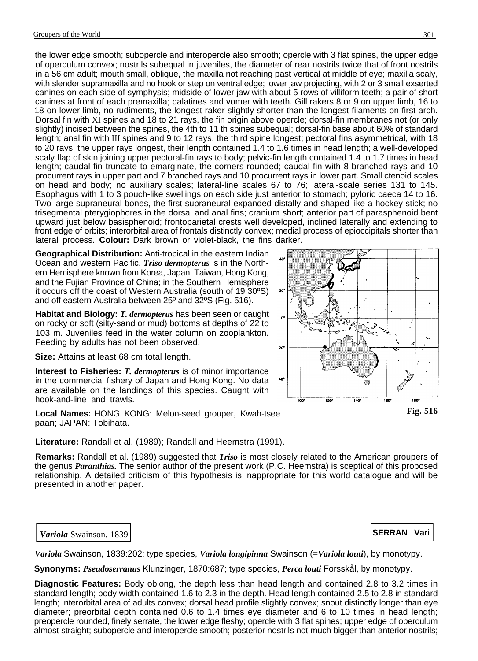the lower edge smooth; subopercle and interopercle also smooth; opercle with 3 flat spines, the upper edge of operculum convex; nostrils subequal in juveniles, the diameter of rear nostrils twice that of front nostrils in a 56 cm adult; mouth small, oblique, the maxilla not reaching past vertical at middle of eye; maxilla scaly, with slender supramaxilla and no hook or step on ventral edge; lower jaw projecting, with 2 or 3 small exserted canines on each side of symphysis; midside of lower jaw with about 5 rows of villiform teeth; a pair of short canines at front of each premaxilla; palatines and vomer with teeth. Gill rakers 8 or 9 on upper limb, 16 to 18 on lower limb, no rudiments, the longest raker slightly shorter than the longest filaments on first arch. Dorsal fin with XI spines and 18 to 21 rays, the fin origin above opercle; dorsal-fin membranes not (or only slightly) incised between the spines, the 4th to 11 th spines subequal; dorsal-fin base about 60% of standard length; anal fin with III spines and 9 to 12 rays, the third spine longest; pectoral fins asymmetrical, with 18 to 20 rays, the upper rays longest, their length contained 1.4 to 1.6 times in head length; a well-developed scaly flap of skin joining upper pectoral-fin rays to body; pelvic-fin length contained 1.4 to 1.7 times in head length; caudal fin truncate to emarginate, the corners rounded; caudal fin with 8 branched rays and 10 procurrent rays in upper part and 7 branched rays and 10 procurrent rays in lower part. Small ctenoid scales on head and body; no auxiliary scales; lateral-line scales 67 to 76; lateral-scale series 131 to 145. Esophagus with 1 to 3 pouch-like swellings on each side just anterior to stomach; pyloric caeca 14 to 16. Two large supraneural bones, the first supraneural expanded distally and shaped like a hockey stick; no trisegmental pterygiophores in the dorsal and anal fins; cranium short; anterior part of parasphenoid bent upward just below basisphenoid; frontoparietal crests well developed, inclined laterally and extending to front edge of orbits; interorbital area of frontals distinctly convex; medial process of epioccipitals shorter than lateral process. **Colour:** Dark brown or violet-black, the fins darker.

**Geographical Distribution:** Anti-tropical in the eastern Indian Ocean and western Pacific. *Triso dermopterus* is in the Northern Hemisphere known from Korea, Japan, Taiwan, Hong Kong, and the Fujian Province of China; in the Southern Hemisphere it occurs off the coast of Western Australia (south of 19 30ºS) and off eastern Australia between 25º and 32ºS (Fig. 516).

**Habitat and Biology:** *T. dermopterus* has been seen or caught on rocky or soft (silty-sand or mud) bottoms at depths of 22 to 103 m. Juveniles feed in the water column on zooplankton. Feeding by adults has not been observed.

**Size:** Attains at least 68 cm total length.

**Interest to Fisheries:** *T. dermopterus* is of minor importance in the commercial fishery of Japan and Hong Kong. No data are available on the landings of this species. Caught with hook-and-line and trawls.

**Local Names:** HONG KONG: Melon-seed grouper, Kwah-tsee paan; JAPAN: Tobihata.

**Literature:** Randall et al. (1989); Randall and Heemstra (1991).

**Remarks:** Randall et al. (1989) suggested that *Triso* is most closely related to the American groupers of the genus *Paranthias.* The senior author of the present work (P.C. Heemstra) is sceptical of this proposed relationship. A detailed criticism of this hypothesis is inappropriate for this world catalogue and will be presented in another paper.

**Variola** Swainson, 1839 **SERRAN Vari** 

*Variola* Swainson, 1839:202; type species, *Variola longipinna* Swainson (=*Variola louti*), by monotypy.

**Synonyms:** *Pseudoserranus* Klunzinger, 1870:687; type species, *Perca louti* Forsskål, by monotypy.

**Diagnostic Features:** Body oblong, the depth less than head length and contained 2.8 to 3.2 times in standard length; body width contained 1.6 to 2.3 in the depth. Head length contained 2.5 to 2.8 in standard length; interorbital area of adults convex; dorsal head profile slightly convex; snout distinctly longer than eye diameter; preorbital depth contained 0.6 to 1.4 times eye diameter and 6 to 10 times in head length; preopercle rounded, finely serrate, the lower edge fleshy; opercle with 3 flat spines; upper edge of operculum almost straight; subopercle and interopercle smooth; posterior nostrils not much bigger than anterior nostrils;

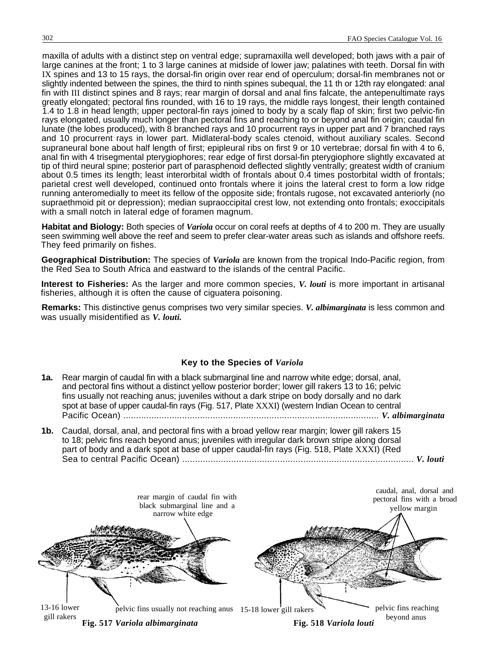maxilla of adults with a distinct step on ventral edge; supramaxilla well developed; both jaws with a pair of large canines at the front; 1 to 3 large canines at midside of lower jaw; palatines with teeth. Dorsal fin with IX spines and 13 to 15 rays, the dorsal-fin origin over rear end of operculum; dorsal-fin membranes not or slightly indented between the spines, the third to ninth spines subequal, the 11 th or 12th ray elongated: anal fin with III distinct spines and 8 rays; rear margin of dorsal and anal fins falcate, the antepenultimate rays greatly elongated; pectoral fins rounded, with 16 to 19 rays, the middle rays longest, their length contained 1.4 to 1.8 in head length; upper pectoral-fin rays joined to body by a scaly flap of skin; first two pelvic-fin rays elongated, usually much longer than pectoral fins and reaching to or beyond anal fin origin; caudal fin lunate (the lobes produced), with 8 branched rays and 10 procurrent rays in upper part and 7 branched rays and 10 procurrent rays in lower part. Midlateral-body scales ctenoid, without auxiliary scales. Second supraneural bone about half length of first; epipleural ribs on first 9 or 10 vertebrae; dorsal fin with 4 to 6, anal fin with 4 trisegmental pterygiophores; rear edge of first dorsal-fin pterygiophore slightly excavated at tip of third neural spine; posterior part of parasphenoid deflected slightly ventrally; greatest width of cranium about 0.5 times its length; least interorbital width of frontals about 0.4 times postorbital width of frontals; parietal crest well developed, continued onto frontals where it joins the lateral crest to form a low ridge running anteromedially to meet its fellow of the opposite side; frontals rugose, not excavated anteriorly (no supraethmoid pit or depression); median supraoccipital crest low, not extending onto frontals; exoccipitals with a small notch in lateral edge of foramen magnum.

**Habitat and Biology:** Both species of *Variola* occur on coral reefs at depths of 4 to 200 m. They are usually seen swimming well above the reef and seem to prefer clear-water areas such as islands and offshore reefs. They feed primarily on fishes.

**Geographical Distribution:** The species of *Variola* are known from the tropical Indo-Pacific region, from the Red Sea to South Africa and eastward to the islands of the central Pacific.

**Interest to Fisheries:** As the larger and more common species, *V. louti* is more important in artisanal fisheries, although it is often the cause of ciguatera poisoning.

**Remarks:** This distinctive genus comprises two very similar species. *V. albimarginata* is less common and was usually misidentified as *V. louti.*

# **Key to the Species of** *Variola*

- **1a.** Rear margin of caudal fin with a black submarginal line and narrow white edge; dorsal, anal, and pectoral fins without a distinct yellow posterior border; lower gill rakers 13 to 16; pelvic fins usually not reaching anus; juveniles without a dark stripe on body dorsally and no dark spot at base of upper caudal-fin rays (Fig. 517, Plate XXXI) (western Indian Ocean to central Pacific Ocean) .................................................................................................... *V. albimarginata*
- **1b.** Caudal, dorsal, anal, and pectoral fins with a broad yellow rear margin; lower gill rakers 15 to 18; pelvic fins reach beyond anus; juveniles with irregular dark brown stripe along dorsal part of body and a dark spot at base of upper caudal-fin rays (Fig. 518, Plate XXXI) (Red Sea to central Pacific Ocean) .......................................................................................... *V. louti*

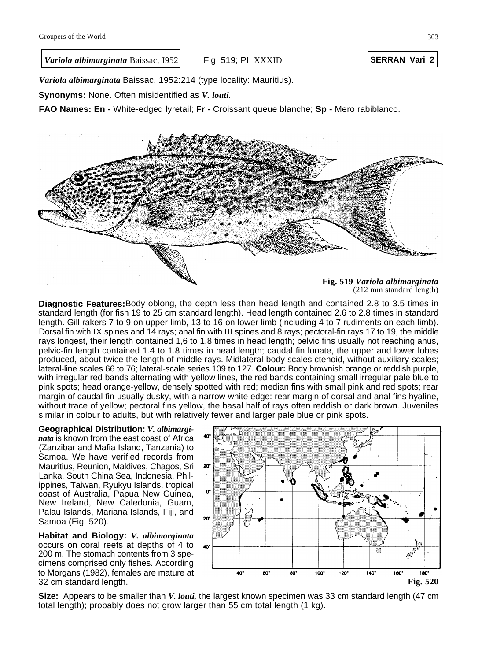*Variola albimarginata* **Baissac, 1952 SERRAN Vari 2 SERRAN Vari 2** 

Fig. 519; PI. XXXID

*Variola albimarginata* Baissac, 1952:214 (type locality: Mauritius).

**Synonyms:** None. Often misidentified as *V. louti.*

**FAO Names: En -** White-edged lyretail; Fr - Croissant queue blanche; Sp - Mero rabiblanco.



### **Fig. 519** *Variola albimarginata* (212 mm standard length)

**Diagnostic Features:**Body oblong, the depth less than head length and contained 2.8 to 3.5 times in standard length (for fish 19 to 25 cm standard length). Head length contained 2.6 to 2.8 times in standard length. Gill rakers 7 to 9 on upper limb, 13 to 16 on lower limb (including 4 to 7 rudiments on each limb). Dorsal fin with IX spines and 14 rays; anal fin with III spines and 8 rays; pectoral-fin rays 17 to 19, the middle rays longest, their length contained 1,6 to 1.8 times in head length; pelvic fins usually not reaching anus, pelvic-fin length contained 1.4 to 1.8 times in head length; caudal fin lunate, the upper and lower lobes produced, about twice the length of middle rays. Midlateral-body scales ctenoid, without auxiliary scales; lateral-line scales 66 to 76; lateral-scale series 109 to 127. **Colour:** Body brownish orange or reddish purple, with irregular red bands alternating with yellow lines, the red bands containing small irregular pale blue to pink spots; head orange-yellow, densely spotted with red; median fins with small pink and red spots; rear margin of caudal fin usually dusky, with a narrow white edge: rear margin of dorsal and anal fins hyaline, without trace of yellow; pectoral fins yellow, the basal half of rays often reddish or dark brown. Juveniles similar in colour to adults, but with relatively fewer and larger pale blue or pink spots.

**Geographical Distribution:** *V. albimarginata* is known from the east coast of Africa (Zanzibar and Mafia Island, Tanzania) to Samoa. We have verified records from Mauritius, Reunion, Maldives, Chagos, Sri Lanka, South China Sea, Indonesia, Philippines, Taiwan, Ryukyu Islands, tropical coast of Australia, Papua New Guinea, New Ireland, New Caledonia, Guam, Palau Islands, Mariana Islands, Fiji, and Samoa (Fig. 520).

**Habitat and Biology:** *V. albimarginata* occurs on coral reefs at depths of 4 to 200 m. The stomach contents from 3 specimens comprised only fishes. According to Morgans (1982), females are mature at



**Size:** Appears to be smaller than *V. louti,* the largest known specimen was 33 cm standard length (47 cm total length); probably does not grow larger than 55 cm total length (1 kg).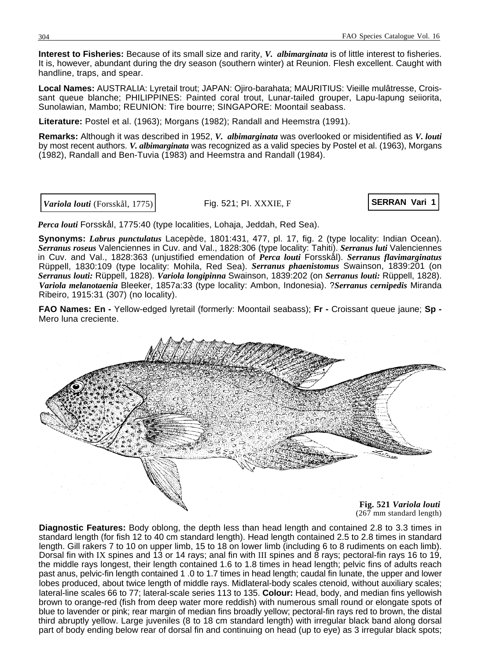<span id="page-6-0"></span>**Interest to Fisheries:** Because of its small size and rarity, *V. albimarginata* is of little interest to fisheries. It is, however, abundant during the dry season (southern winter) at Reunion. Flesh excellent. Caught with handline, traps, and spear.

**Local Names:** AUSTRALIA: Lyretail trout; JAPAN: Ojiro-barahata; MAURITIUS: Vieille mulâtresse, Croissant queue blanche; PHILIPPINES: Painted coral trout, Lunar-tailed grouper, Lapu-lapung seiiorita, Sunolawian, Mambo; REUNION: Tire bourre; SINGAPORE: Moontail seabass.

**Literature:** Postel et al. (1963); Morgans (1982); Randall and Heemstra (1991).

**Remarks:** Although it was described in 1952, *V. albimarginata* was overlooked or misidentified as *V. louti* by most recent authors. *V. albimarginata* was recognized as a valid species by Postel et al. (1963), Morgans (1982), Randall and Ben-Tuvia (1983) and Heemstra and Randall (1984).

*Variola louti* (Forsskål, 1775) **SERRAN Vari 1**

Fig. 521; PI. XXXIE, F

*Perca louti* Forsskål, 1775:40 (type localities, Lohaja, Jeddah, Red Sea).

**Synonyms:** *Labrus punctulatus* Lacepède, 1801:431, 477, pl. 17, fig. 2 (type locality: Indian Ocean). *Serranus roseus* Valenciennes in Cuv. and Val., 1828:306 (type locality: Tahiti). *Serranus luti* Valenciennes in Cuv. and Val., 1828:363 (unjustified emendation of *Perca louti* Forsskål). *Serranus flavimarginatus* Rüppell, 1830:109 (type locality: Mohila, Red Sea). *Serranus phaenistomus* Swainson, 1839:201 (on *Serranus louti:* Rüppell, 1828). *Variola longipinna* Swainson, 1839:202 (on *Serranus louti:* Rüppell, 1828). *Variola melanotaenia* Bleeker, 1857a:33 (type locality: Ambon, Indonesia). ?*Serranus cernipedis* Miranda Ribeiro, 1915:31 (307) (no locality).

**FAO Names: En -** Yellow-edged lyretail (formerly: Moontail seabass); **Fr -** Croissant queue jaune; **Sp -** Mero luna creciente.



(267 mm standard length)

**Diagnostic Features:** Body oblong, the depth less than head length and contained 2.8 to 3.3 times in standard length (for fish 12 to 40 cm standard length). Head length contained 2.5 to 2.8 times in standard length. Gill rakers 7 to 10 on upper limb, 15 to 18 on lower limb (including 6 to 8 rudiments on each limb). Dorsal fin with IX spines and 13 or 14 rays; anal fin with III spines and 8 rays; pectoral-fin rays 16 to 19, the middle rays longest, their length contained 1.6 to 1.8 times in head length; pelvic fins of adults reach past anus, pelvic-fin length contained 1 .0 to 1.7 times in head length; caudal fin lunate, the upper and lower lobes produced, about twice length of middle rays. Midlateral-body scales ctenoid, without auxiliary scales; lateral-line scales 66 to 77; lateral-scale series 113 to 135. **Colour:** Head, body, and median fins yellowish brown to orange-red (fish from deep water more reddish) with numerous small round or elongate spots of blue to lavender or pink; rear margin of median fins broadly yellow; pectoral-fin rays red to brown, the distal third abruptly yellow. Large juveniles (8 to 18 cm standard length) with irregular black band along dorsal part of body ending below rear of dorsal fin and continuing on head (up to eye) as 3 irregular black spots;